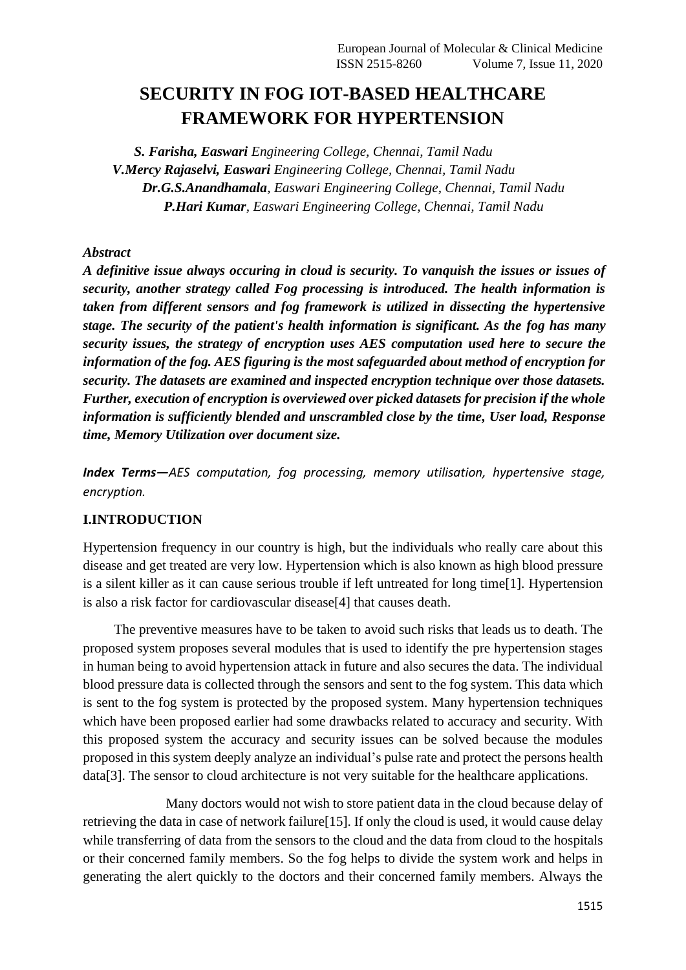# **SECURITY IN FOG IOT-BASED HEALTHCARE FRAMEWORK FOR HYPERTENSION**

*S. Farisha, Easwari Engineering College, Chennai, Tamil Nadu V.Mercy Rajaselvi, Easwari Engineering College, Chennai, Tamil Nadu Dr.G.S.Anandhamala, Easwari Engineering College, Chennai, Tamil Nadu P.Hari Kumar, Easwari Engineering College, Chennai, Tamil Nadu*

## *Abstract*

*A definitive issue always occuring in cloud is security. To vanquish the issues or issues of security, another strategy called Fog processing is introduced. The health information is taken from different sensors and fog framework is utilized in dissecting the hypertensive stage. The security of the patient's health information is significant. As the fog has many security issues, the strategy of encryption uses AES computation used here to secure the information of the fog. AES figuring is the most safeguarded about method of encryption for security. The datasets are examined and inspected encryption technique over those datasets. Further, execution of encryption is overviewed over picked datasets for precision if the whole information is sufficiently blended and unscrambled close by the time, User load, Response time, Memory Utilization over document size.*

*Index Terms—AES computation, fog processing, memory utilisation, hypertensive stage, encryption.*

#### **I.INTRODUCTION**

Hypertension frequency in our country is high, but the individuals who really care about this disease and get treated are very low. Hypertension which is also known as high blood pressure is a silent killer as it can cause serious trouble if left untreated for long time[1]. Hypertension is also a risk factor for cardiovascular disease[4] that causes death.

 The preventive measures have to be taken to avoid such risks that leads us to death. The proposed system proposes several modules that is used to identify the pre hypertension stages in human being to avoid hypertension attack in future and also secures the data. The individual blood pressure data is collected through the sensors and sent to the fog system. This data which is sent to the fog system is protected by the proposed system. Many hypertension techniques which have been proposed earlier had some drawbacks related to accuracy and security. With this proposed system the accuracy and security issues can be solved because the modules proposed in this system deeply analyze an individual's pulse rate and protect the persons health data[3]. The sensor to cloud architecture is not very suitable for the healthcare applications.

 Many doctors would not wish to store patient data in the cloud because delay of retrieving the data in case of network failure[15]. If only the cloud is used, it would cause delay while transferring of data from the sensors to the cloud and the data from cloud to the hospitals or their concerned family members. So the fog helps to divide the system work and helps in generating the alert quickly to the doctors and their concerned family members. Always the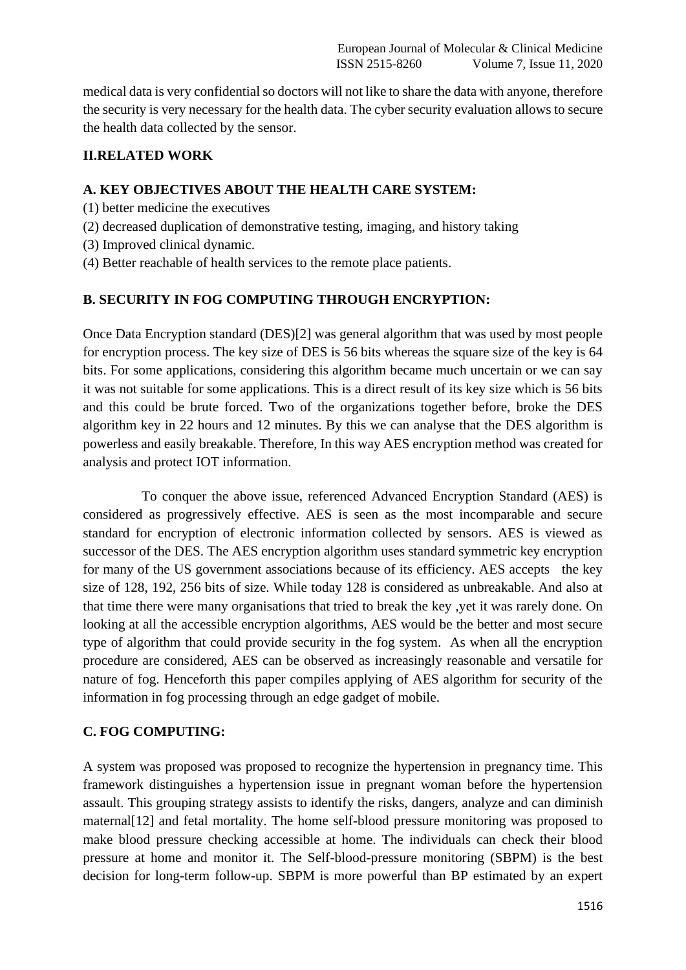medical data is very confidential so doctors will not like to share the data with anyone, therefore the security is very necessary for the health data. The cyber security evaluation allows to secure the health data collected by the sensor.

## **II.RELATED WORK**

## **A. KEY OBJECTIVES ABOUT THE HEALTH CARE SYSTEM:**

- (1) better medicine the executives
- (2) decreased duplication of demonstrative testing, imaging, and history taking
- (3) Improved clinical dynamic.
- (4) Better reachable of health services to the remote place patients.

## **B. SECURITY IN FOG COMPUTING THROUGH ENCRYPTION:**

Once Data Encryption standard (DES)[2] was general algorithm that was used by most people for encryption process. The key size of DES is 56 bits whereas the square size of the key is 64 bits. For some applications, considering this algorithm became much uncertain or we can say it was not suitable for some applications. This is a direct result of its key size which is 56 bits and this could be brute forced. Two of the organizations together before, broke the DES algorithm key in 22 hours and 12 minutes. By this we can analyse that the DES algorithm is powerless and easily breakable. Therefore, In this way AES encryption method was created for analysis and protect IOT information.

 To conquer the above issue, referenced Advanced Encryption Standard (AES) is considered as progressively effective. AES is seen as the most incomparable and secure standard for encryption of electronic information collected by sensors. AES is viewed as successor of the DES. The AES encryption algorithm uses standard symmetric key encryption for many of the US government associations because of its efficiency. AES accepts the key size of 128, 192, 256 bits of size. While today 128 is considered as unbreakable. And also at that time there were many organisations that tried to break the key ,yet it was rarely done. On looking at all the accessible encryption algorithms, AES would be the better and most secure type of algorithm that could provide security in the fog system. As when all the encryption procedure are considered, AES can be observed as increasingly reasonable and versatile for nature of fog. Henceforth this paper compiles applying of AES algorithm for security of the information in fog processing through an edge gadget of mobile.

#### **C. FOG COMPUTING:**

A system was proposed was proposed to recognize the hypertension in pregnancy time. This framework distinguishes a hypertension issue in pregnant woman before the hypertension assault. This grouping strategy assists to identify the risks, dangers, analyze and can diminish maternal[12] and fetal mortality. The home self-blood pressure monitoring was proposed to make blood pressure checking accessible at home. The individuals can check their blood pressure at home and monitor it. The Self-blood-pressure monitoring (SBPM) is the best decision for long-term follow-up. SBPM is more powerful than BP estimated by an expert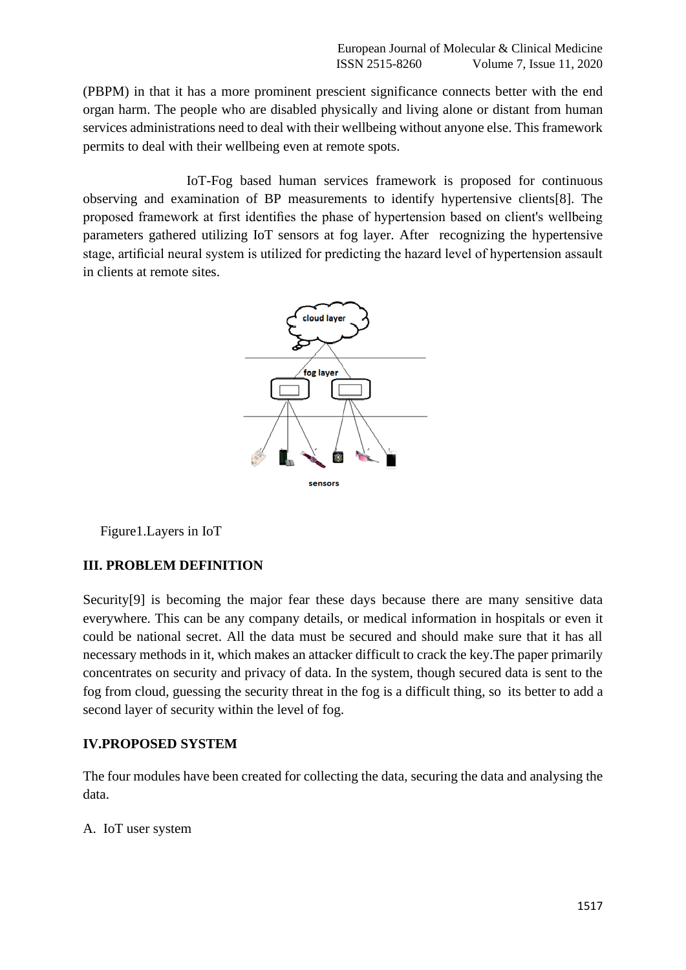(PBPM) in that it has a more prominent prescient significance connects better with the end organ harm. The people who are disabled physically and living alone or distant from human services administrations need to deal with their wellbeing without anyone else. This framework permits to deal with their wellbeing even at remote spots.

 IoT-Fog based human services framework is proposed for continuous observing and examination of BP measurements to identify hypertensive clients[8]. The proposed framework at first identifies the phase of hypertension based on client's wellbeing parameters gathered utilizing IoT sensors at fog layer. After recognizing the hypertensive stage, artificial neural system is utilized for predicting the hazard level of hypertension assault in clients at remote sites.



Figure1.Layers in IoT

#### **III. PROBLEM DEFINITION**

Security<sup>[9]</sup> is becoming the major fear these days because there are many sensitive data everywhere. This can be any company details, or medical information in hospitals or even it could be national secret. All the data must be secured and should make sure that it has all necessary methods in it, which makes an attacker difficult to crack the key.The paper primarily concentrates on security and privacy of data. In the system, though secured data is sent to the fog from cloud, guessing the security threat in the fog is a difficult thing, so its better to add a second layer of security within the level of fog.

#### **IV.PROPOSED SYSTEM**

The four modules have been created for collecting the data, securing the data and analysing the data.

A. IoT user system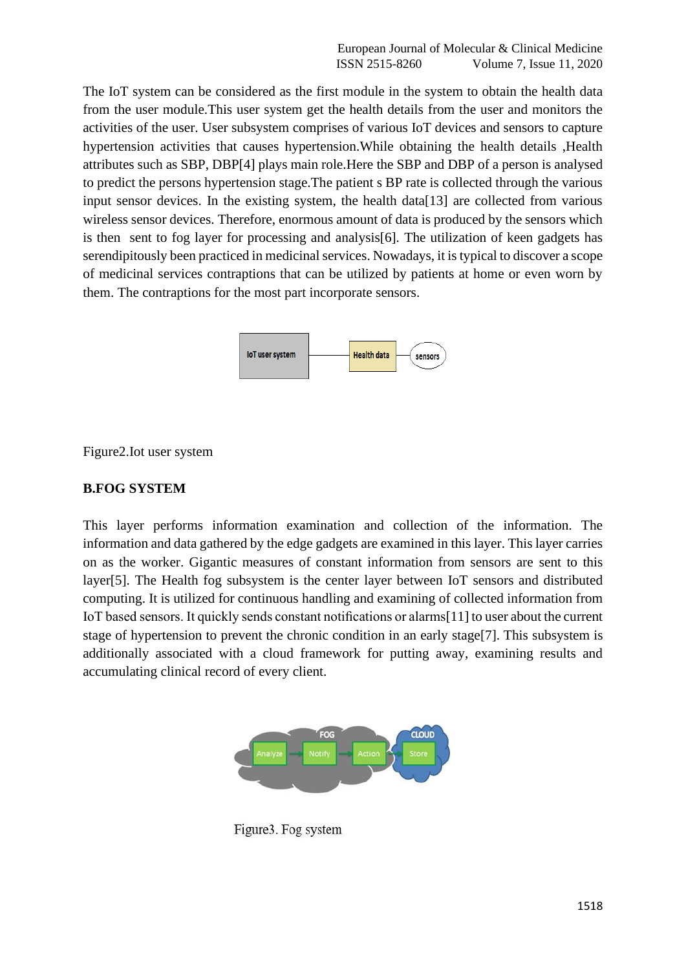The IoT system can be considered as the first module in the system to obtain the health data from the user module.This user system get the health details from the user and monitors the activities of the user. User subsystem comprises of various IoT devices and sensors to capture hypertension activities that causes hypertension.While obtaining the health details ,Health attributes such as SBP, DBP[4] plays main role.Here the SBP and DBP of a person is analysed to predict the persons hypertension stage.The patient s BP rate is collected through the various input sensor devices. In the existing system, the health data  $[13]$  are collected from various wireless sensor devices. Therefore, enormous amount of data is produced by the sensors which is then sent to fog layer for processing and analysis[6]. The utilization of keen gadgets has serendipitously been practiced in medicinal services. Nowadays, it is typical to discover a scope of medicinal services contraptions that can be utilized by patients at home or even worn by them. The contraptions for the most part incorporate sensors.



Figure2.Iot user system

## **B.FOG SYSTEM**

This layer performs information examination and collection of the information. The information and data gathered by the edge gadgets are examined in this layer. This layer carries on as the worker. Gigantic measures of constant information from sensors are sent to this layer[5]. The Health fog subsystem is the center layer between IoT sensors and distributed computing. It is utilized for continuous handling and examining of collected information from IoT based sensors. It quickly sends constant notifications or alarms[11] to user about the current stage of hypertension to prevent the chronic condition in an early stage[7]. This subsystem is additionally associated with a cloud framework for putting away, examining results and accumulating clinical record of every client.



Figure3. Fog system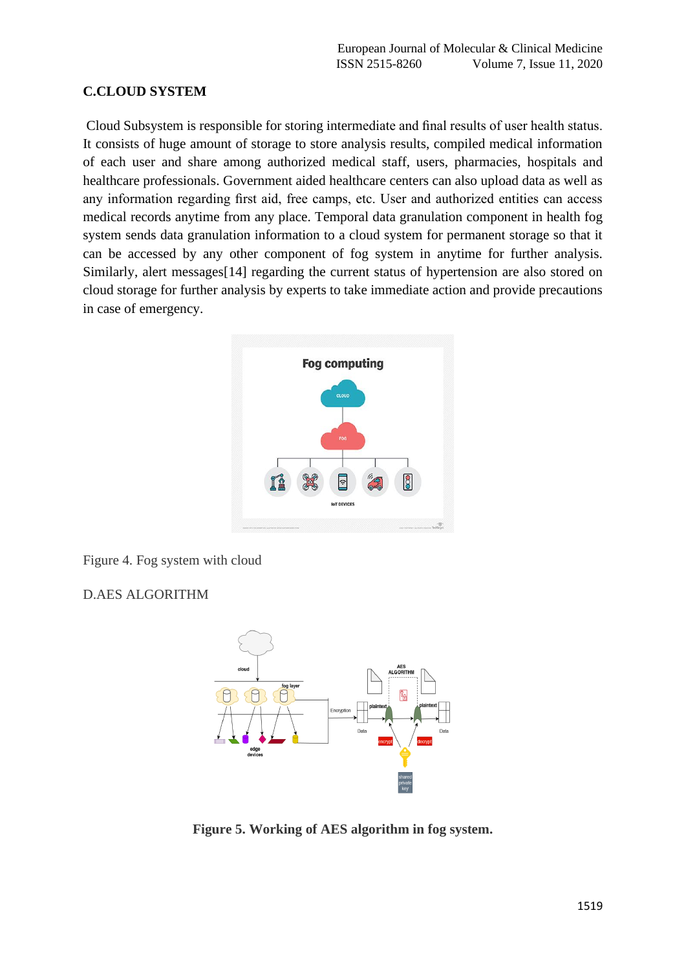## **C.CLOUD SYSTEM**

Cloud Subsystem is responsible for storing intermediate and final results of user health status. It consists of huge amount of storage to store analysis results, compiled medical information of each user and share among authorized medical staff, users, pharmacies, hospitals and healthcare professionals. Government aided healthcare centers can also upload data as well as any information regarding first aid, free camps, etc. User and authorized entities can access medical records anytime from any place. Temporal data granulation component in health fog system sends data granulation information to a cloud system for permanent storage so that it can be accessed by any other component of fog system in anytime for further analysis. Similarly, alert messages[14] regarding the current status of hypertension are also stored on cloud storage for further analysis by experts to take immediate action and provide precautions in case of emergency.



Figure 4. Fog system with cloud

D.AES ALGORITHM



**Figure 5. Working of AES algorithm in fog system.**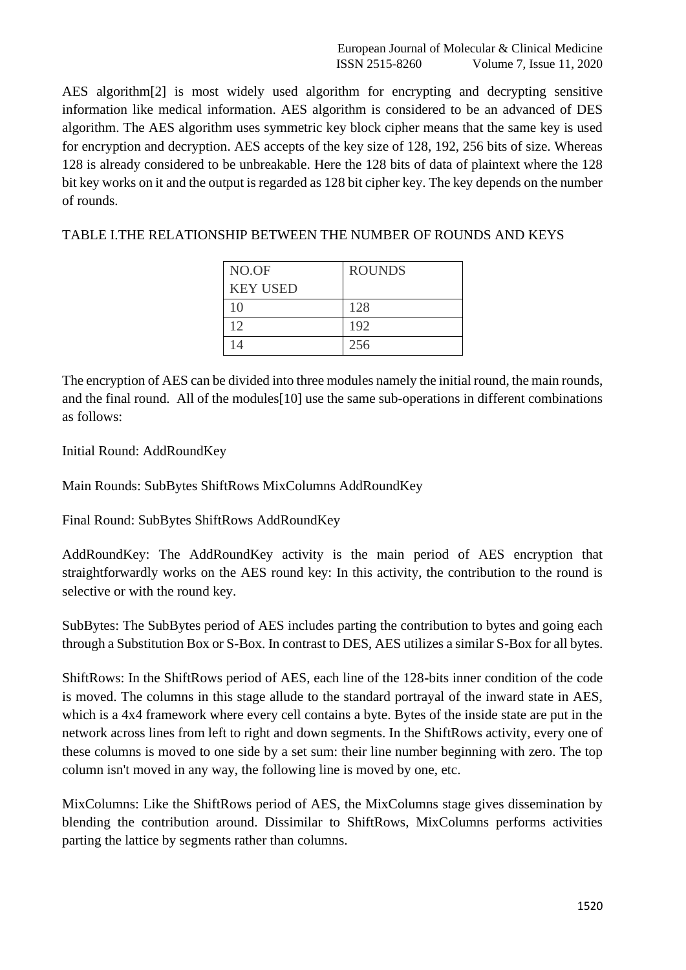European Journal of Molecular & Clinical Medicine ISSN 2515-8260 Volume 7, Issue 11, 2020

AES algorithm[2] is most widely used algorithm for encrypting and decrypting sensitive information like medical information. AES algorithm is considered to be an advanced of DES algorithm. The AES algorithm uses symmetric key block cipher means that the same key is used for encryption and decryption. AES accepts of the key size of 128, 192, 256 bits of size. Whereas 128 is already considered to be unbreakable. Here the 128 bits of data of plaintext where the 128 bit key works on it and the output is regarded as 128 bit cipher key. The key depends on the number of rounds.

TABLE I.THE RELATIONSHIP BETWEEN THE NUMBER OF ROUNDS AND KEYS

| NO.OF           | <b>ROUNDS</b> |
|-----------------|---------------|
| <b>KEY USED</b> |               |
| 10              | 128           |
| 12              | 192           |
| 14              | 256           |

The encryption of AES can be divided into three modules namely the initial round, the main rounds, and the final round. All of the modules[10] use the same sub-operations in different combinations as follows:

Initial Round: AddRoundKey

Main Rounds: SubBytes ShiftRows MixColumns AddRoundKey

Final Round: SubBytes ShiftRows AddRoundKey

AddRoundKey: The AddRoundKey activity is the main period of AES encryption that straightforwardly works on the AES round key: In this activity, the contribution to the round is selective or with the round key.

SubBytes: The SubBytes period of AES includes parting the contribution to bytes and going each through a Substitution Box or S-Box. In contrast to DES, AES utilizes a similar S-Box for all bytes.

ShiftRows: In the ShiftRows period of AES, each line of the 128-bits inner condition of the code is moved. The columns in this stage allude to the standard portrayal of the inward state in AES, which is a 4x4 framework where every cell contains a byte. Bytes of the inside state are put in the network across lines from left to right and down segments. In the ShiftRows activity, every one of these columns is moved to one side by a set sum: their line number beginning with zero. The top column isn't moved in any way, the following line is moved by one, etc.

MixColumns: Like the ShiftRows period of AES, the MixColumns stage gives dissemination by blending the contribution around. Dissimilar to ShiftRows, MixColumns performs activities parting the lattice by segments rather than columns.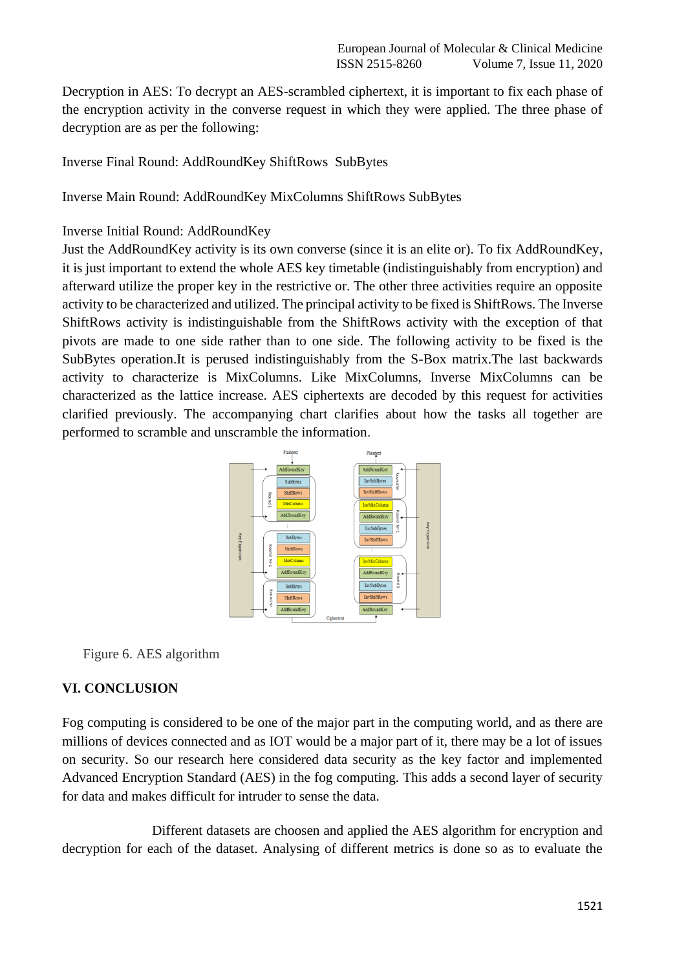Decryption in AES: To decrypt an AES-scrambled ciphertext, it is important to fix each phase of the encryption activity in the converse request in which they were applied. The three phase of decryption are as per the following:

Inverse Final Round: AddRoundKey ShiftRows SubBytes

Inverse Main Round: AddRoundKey MixColumns ShiftRows SubBytes

## Inverse Initial Round: AddRoundKey

Just the AddRoundKey activity is its own converse (since it is an elite or). To fix AddRoundKey, it is just important to extend the whole AES key timetable (indistinguishably from encryption) and afterward utilize the proper key in the restrictive or. The other three activities require an opposite activity to be characterized and utilized. The principal activity to be fixed is ShiftRows. The Inverse ShiftRows activity is indistinguishable from the ShiftRows activity with the exception of that pivots are made to one side rather than to one side. The following activity to be fixed is the SubBytes operation.It is perused indistinguishably from the S-Box matrix.The last backwards activity to characterize is MixColumns. Like MixColumns, Inverse MixColumns can be characterized as the lattice increase. AES ciphertexts are decoded by this request for activities clarified previously. The accompanying chart clarifies about how the tasks all together are performed to scramble and unscramble the information.



Figure 6. AES algorithm

## **VI. CONCLUSION**

Fog computing is considered to be one of the major part in the computing world, and as there are millions of devices connected and as IOT would be a major part of it, there may be a lot of issues on security. So our research here considered data security as the key factor and implemented Advanced Encryption Standard (AES) in the fog computing. This adds a second layer of security for data and makes difficult for intruder to sense the data.

 Different datasets are choosen and applied the AES algorithm for encryption and decryption for each of the dataset. Analysing of different metrics is done so as to evaluate the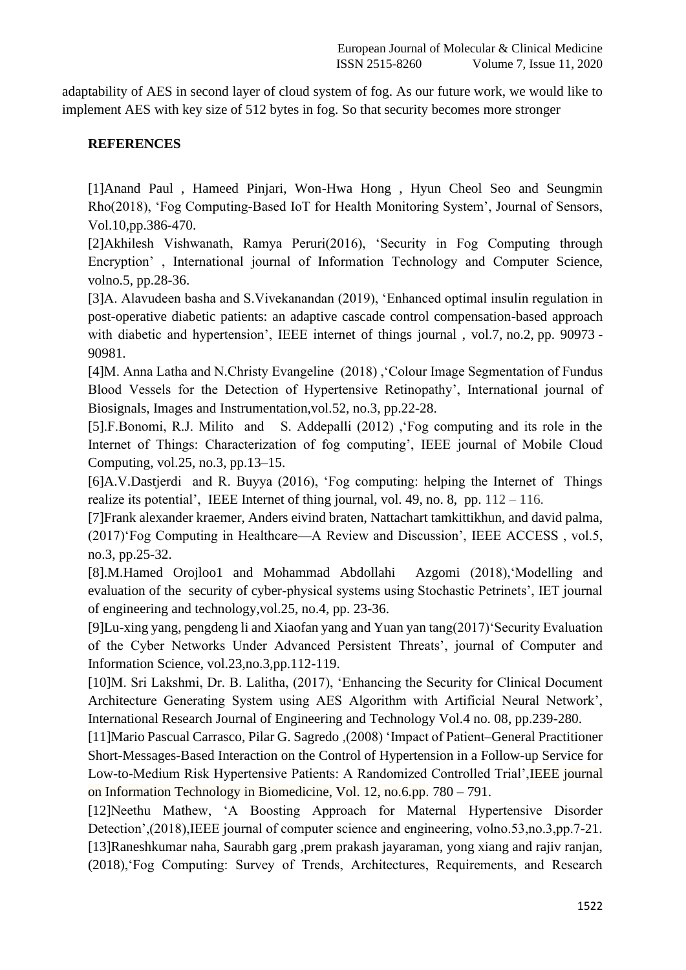adaptability of AES in second layer of cloud system of fog. As our future work, we would like to implement AES with key size of 512 bytes in fog. So that security becomes more stronger

## **REFERENCES**

[1]Anand Paul , Hameed Pinjari, Won-Hwa Hong , Hyun Cheol Seo and Seungmin Rho(2018), 'Fog Computing-Based IoT for Health Monitoring System', Journal of Sensors, Vol.10,pp.386-470.

[2]Akhilesh Vishwanath, Ramya Peruri(2016), 'Security in Fog Computing through Encryption' , International journal of Information Technology and Computer Science, volno.5, pp.28-36.

[3]A. Alavudeen basha and S.Vivekanandan (2019), 'Enhanced optimal insulin regulation in post-operative diabetic patients: an adaptive cascade control compensation-based approach with diabetic and hypertension', IEEE internet of things journal , vol.7, no.2, pp. 90973 - 90981.

[4]M. Anna Latha and N.Christy Evangeline (2018) ,'Colour Image Segmentation of Fundus Blood Vessels for the Detection of Hypertensive Retinopathy', International journal of Biosignals, Images and Instrumentation,vol.52, no.3, pp.22-28.

[5].F.Bonomi, R.J. Milito and S. Addepalli (2012) ,'Fog computing and its role in the Internet of Things: Characterization of fog computing', IEEE journal of Mobile Cloud Computing, vol.25, no.3, pp.13–15.

[6]A.V.Dastjerdi and R. Buyya (2016), 'Fog computing: helping the Internet of Things realize its potential', IEEE Internet of thing journal, vol. 49, no. 8, pp.  $112 - 116$ .

[7]Frank alexander kraemer, Anders eivind braten, Nattachart tamkittikhun, and david palma, (2017)'Fog Computing in Healthcare—A Review and Discussion', IEEE ACCESS , vol.5, no.3, pp.25-32.

[8].M.Hamed Orojloo1 and Mohammad Abdollahi Azgomi (2018),'Modelling and evaluation of the security of cyber-physical systems using Stochastic Petrinets', IET journal of engineering and technology,vol.25, no.4, pp. 23-36.

[9]Lu-xing yang, pengdeng li and Xiaofan yang and Yuan yan tang(2017)'Security Evaluation of the Cyber Networks Under Advanced Persistent Threats', journal of Computer and Information Science, vol.23,no.3,pp.112-119.

[10]M. Sri Lakshmi, Dr. B. Lalitha, (2017), 'Enhancing the Security for Clinical Document Architecture Generating System using AES Algorithm with Artificial Neural Network', International Research Journal of Engineering and Technology Vol.4 no. 08, pp.239-280.

[11]Mario Pascual Carrasco, Pilar G. Sagredo ,(2008) 'Impact of Patient–General Practitioner Short-Messages-Based Interaction on the Control of Hypertension in a Follow-up Service for Low-to-Medium Risk Hypertensive Patients: A Randomized Controlled Trial',IEEE journal on Information Technology in Biomedicine, Vol. 12, no.6.pp. 780 – 791.

[12]Neethu Mathew, 'A Boosting Approach for Maternal Hypertensive Disorder Detection',(2018),IEEE journal of computer science and engineering, volno.53,no.3,pp.7-21. [13]Raneshkumar naha, Saurabh garg ,prem prakash jayaraman, yong xiang and rajiv ranjan, (2018),'Fog Computing: Survey of Trends, Architectures, Requirements, and Research